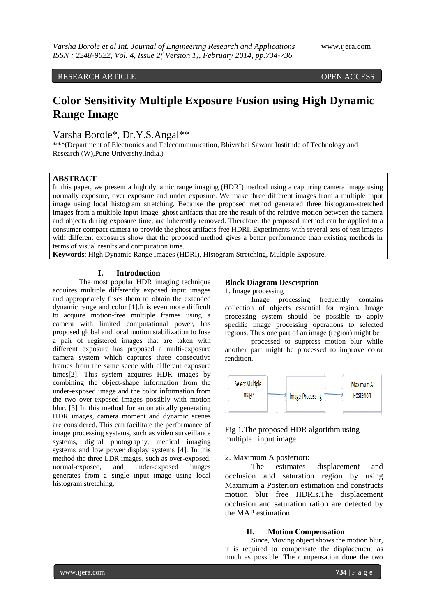RESEARCH ARTICLE OPEN ACCESS

# **Color Sensitivity Multiple Exposure Fusion using High Dynamic Range Image**

Varsha Borole\*, Dr.Y.S.Angal\*\*

\*\*\*(Department of Electronics and Telecommunication, Bhivrabai Sawant Institude of Technology and Research (W),Pune University,India.)

## **ABSTRACT**

In this paper, we present a high dynamic range imaging (HDRI) method using a capturing camera image using normally exposure, over exposure and under exposure. We make three different images from a multiple input image using local histogram stretching. Because the proposed method generated three histogram-stretched images from a multiple input image, ghost artifacts that are the result of the relative motion between the camera and objects during exposure time, are inherently removed. Therefore, the proposed method can be applied to a consumer compact camera to provide the ghost artifacts free HDRI. Experiments with several sets of test images with different exposures show that the proposed method gives a better performance than existing methods in terms of visual results and computation time.

**Keywords**: High Dynamic Range Images (HDRI), Histogram Stretching, Multiple Exposure.

## **I. Introduction**

The most popular HDR imaging technique acquires multiple differently exposed input images and appropriately fuses them to obtain the extended dynamic range and color [1].It is even more difficult to acquire motion-free multiple frames using a camera with limited computational power, has proposed global and local motion stabilization to fuse a pair of registered images that are taken with different exposure has proposed a multi-exposure camera system which captures three consecutive frames from the same scene with different exposure times[2]. This system acquires HDR images by combining the object-shape information from the under-exposed image and the color information from the two over-exposed images possibly with motion blur. [3] In this method for automatically generating HDR images, camera moment and dynamic scenes are considered. This can facilitate the performance of image processing systems, such as video surveillance systems, digital photography, medical imaging systems and low power display systems [4]. In this method the three LDR images, such as over-exposed, normal-exposed, and under-exposed images generates from a single input image using local histogram stretching.

## **Block Diagram Description**

1. Image processing

Image processing frequently contains collection of objects essential for region. Image processing system should be possible to apply specific image processing operations to selected regions. Thus one part of an image (region) might be

processed to suppress motion blur while another part might be processed to improve color rendition.



# Fig 1.The proposed HDR algorithm using multiple input image

#### 2. Maximum A posteriori:

The estimates displacement and occlusion and saturation region by using Maximum a Posteriori estimation and constructs motion blur free HDRIs.The displacement occlusion and saturation ration are detected by the MAP estimation.

#### **II. Motion Compensation**

Since, Moving object shows the motion blur, it is required to compensate the displacement as much as possible. The compensation done the two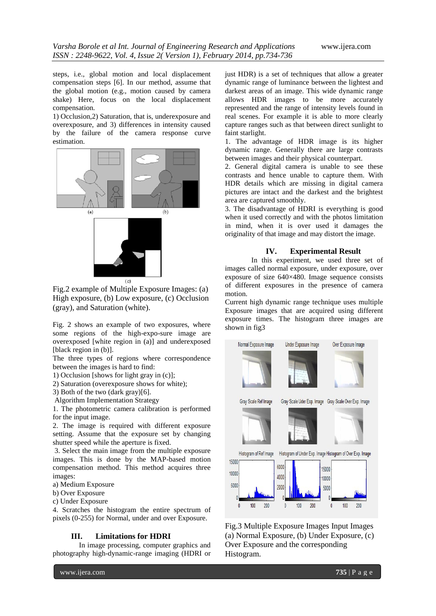steps, i.e., global motion and local displacement compensation steps [6]. In our method, assume that the global motion (e.g., motion caused by camera shake) Here, focus on the local displacement compensation*.*

1) Occlusion,2) Saturation, that is, underexposure and overexposure, and 3) differences in intensity caused by the failure of the camera response curve estimation.



Fig.2 example of Multiple Exposure Images: (a) High exposure, (b) Low exposure, (c) Occlusion (gray), and Saturation (white).

Fig. 2 shows an example of two exposures, where some regions of the high-expo-sure image are overexposed [white region in (a)] and underexposed [black region in (b)].

The three types of regions where correspondence between the images is hard to find:

1) Occlusion [shows for light gray in (c)];

2) Saturation (overexposure shows for white);

3) Both of the two (dark gray)[6].

Algorithm Implementation Strategy

1. The photometric camera calibration is performed for the input image.

2. The image is required with different exposure setting. Assume that the exposure set by changing shutter speed while the aperture is fixed.

3. Select the main image from the multiple exposure images. This is done by the MAP-based motion compensation method. This method acquires three images:

a) Medium Exposure

b) Over Exposure

c) Under Exposure

4. Scratches the histogram the entire spectrum of pixels (0-255) for Normal, under and over Exposure.

#### **III. Limitations for HDRI**

In image processing, computer graphics and photography high-dynamic-range imaging (HDRI or

www.ijera.com **735** | P a g e

just HDR) is a set of techniques that allow a greater dynamic range of luminance between the lightest and darkest areas of an image. This wide dynamic range allows HDR images to be more accurately represented and the range of intensity levels found in real scenes. For example it is able to more clearly capture ranges such as that between direct sunlight to faint starlight.

1. The advantage of HDR image is its higher dynamic range. Generally there are large contrasts between images and their physical counterpart.

2. General digital camera is unable to see these contrasts and hence unable to capture them. With HDR details which are missing in digital camera pictures are intact and the darkest and the brightest area are captured smoothly.

3. The disadvantage of HDRI is everything is good when it used correctly and with the photos limitation in mind, when it is over used it damages the originality of that image and may distort the image.

## **IV. Experimental Result**

In this experiment, we used three set of images called normal exposure, under exposure, over exposure of size 640×480. Image sequence consists of different exposures in the presence of camera motion.

Current high dynamic range technique uses multiple Exposure images that are acquired using different exposure times. The histogram three images are shown in fig3



Fig.3 Multiple Exposure Images Input Images (a) Normal Exposure, (b) Under Exposure, (c) Over Exposure and the corresponding Histogram.